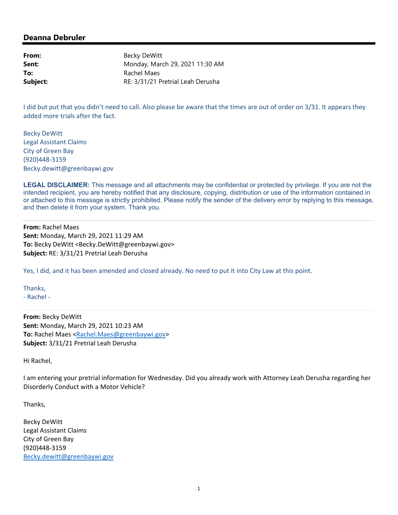## **Deanna Debruler**

| From:    | Becky DeWitt                      |
|----------|-----------------------------------|
| Sent:    | Monday, March 29, 2021 11:30 AM   |
| To:      | Rachel Maes                       |
| Subject: | RE: 3/31/21 Pretrial Leah Derusha |

I did but put that you didn't need to call. Also please be aware that the times are out of order on 3/31. It appears they added more trials after the fact.

Becky DeWitt Legal Assistant Claims City of Green Bay (920)448‐3159 Becky.dewitt@greenbaywi.gov

**LEGAL DISCLAIMER:** This message and all attachments may be confidential or protected by privilege. If you are not the intended recipient, you are hereby notified that any disclosure, copying, distribution or use of the information contained in or attached to this message is strictly prohibited. Please notify the sender of the delivery error by replying to this message, and then delete it from your system. Thank you.

**From:** Rachel Maes **Sent:** Monday, March 29, 2021 11:29 AM **To:** Becky DeWitt <Becky.DeWitt@greenbaywi.gov> **Subject:** RE: 3/31/21 Pretrial Leah Derusha

Yes, I did, and it has been amended and closed already. No need to put it into City Law at this point.

Thanks,

‐ Rachel ‐

**From:** Becky DeWitt **Sent:** Monday, March 29, 2021 10:23 AM **To:** Rachel Maes <Rachel.Maes@greenbaywi.gov> **Subject:** 3/31/21 Pretrial Leah Derusha

Hi Rachel,

I am entering your pretrial information for Wednesday. Did you already work with Attorney Leah Derusha regarding her Disorderly Conduct with a Motor Vehicle?

Thanks,

Becky DeWitt Legal Assistant Claims City of Green Bay (920)448‐3159 Becky.dewitt@greenbaywi.gov